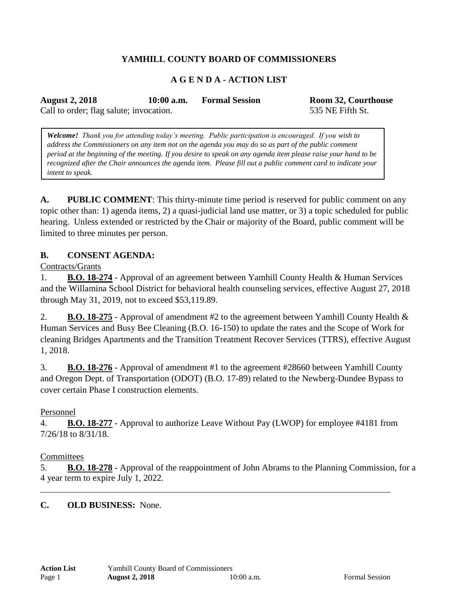# **YAMHILL COUNTY BOARD OF COMMISSIONERS**

### **A G E N D A - ACTION LIST**

**August 2, 2018 10:00 a.m. Formal Session Room 32, Courthouse** Call to order; flag salute; invocation. 535 NE Fifth St.

*Welcome! Thank you for attending today's meeting. Public participation is encouraged. If you wish to address the Commissioners on any item not on the agenda you may do so as part of the public comment period at the beginning of the meeting. If you desire to speak on any agenda item please raise your hand to be recognized after the Chair announces the agenda item. Please fill out a public comment card to indicate your intent to speak.*

**A. PUBLIC COMMENT**: This thirty-minute time period is reserved for public comment on any topic other than: 1) agenda items, 2) a quasi-judicial land use matter, or 3) a topic scheduled for public hearing. Unless extended or restricted by the Chair or majority of the Board, public comment will be limited to three minutes per person.

### **B. CONSENT AGENDA:**

Contracts/Grants

1. **B.O. 18-274** - Approval of an agreement between Yamhill County Health & Human Services and the Willamina School District for behavioral health counseling services, effective August 27, 2018 through May 31, 2019, not to exceed \$53,119.89.

2. **B.O. 18-275** - Approval of amendment #2 to the agreement between Yamhill County Health & Human Services and Busy Bee Cleaning (B.O. 16-150) to update the rates and the Scope of Work for cleaning Bridges Apartments and the Transition Treatment Recover Services (TTRS), effective August 1, 2018.

3. **B.O. 18-276** - Approval of amendment #1 to the agreement #28660 between Yamhill County and Oregon Dept. of Transportation (ODOT) (B.O. 17-89) related to the Newberg-Dundee Bypass to cover certain Phase I construction elements.

### Personnel

4. **B.O. 18-277** - Approval to authorize Leave Without Pay (LWOP) for employee #4181 from 7/26/18 to 8/31/18.

#### **Committees**

5. **B.O. 18-278** - Approval of the reappointment of John Abrams to the Planning Commission, for a 4 year term to expire July 1, 2022.

**C. OLD BUSINESS:** None.